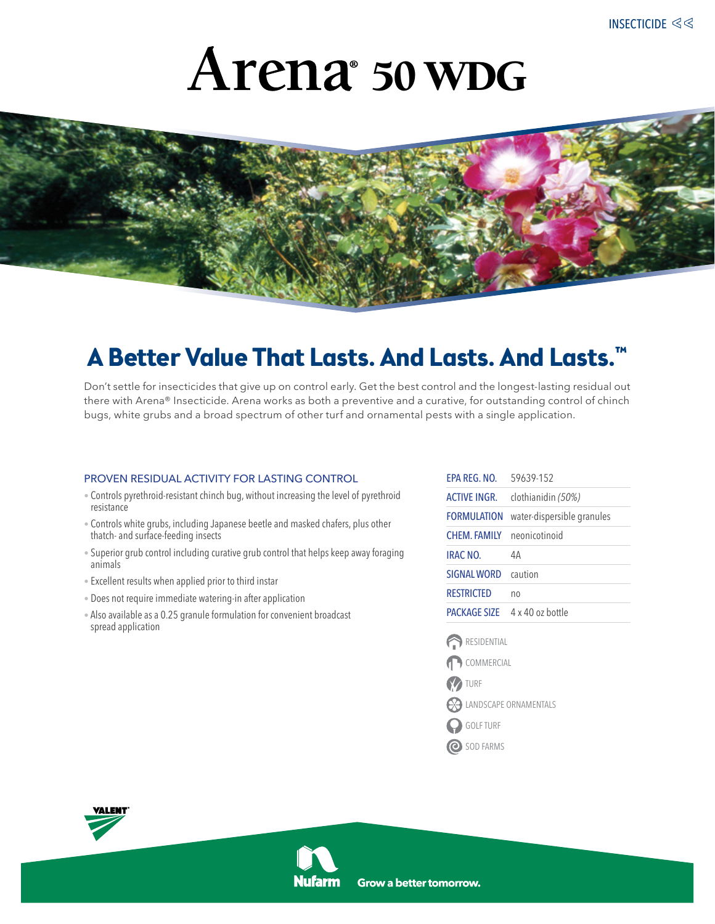# 50 WDG



### **A Better Value That Lasts. And Lasts. And Lasts.™**

Don't settle for insecticides that give up on control early. Get the best control and the longest-lasting residual out there with Arena® Insecticide. Arena works as both a preventive and a curative, for outstanding control of chinch bugs, white grubs and a broad spectrum of other turf and ornamental pests with a single application.

#### proven residual activity for lasting control

- Controls pyrethroid-resistant chinch bug, without increasing the level of pyrethroid resistance
- Controls white grubs, including Japanese beetle and masked chafers, plus other thatch- and surface-feeding insects
- Superior grub control including curative grub control that helps keep away foraging animals
- Excellent results when applied prior to third instar
- Does not require immediate watering-in after application
- Also available as a 0.25 granule formulation for convenient broadcast spread application

| FPA RFG. NO.        | 59639-152                            |
|---------------------|--------------------------------------|
| <b>ACTIVE INGR.</b> | clothianidin (50%)                   |
| <b>FORMULATION</b>  | water-dispersible granules           |
| CHEM FAMILY         | neonicotinoid                        |
| <b>IRAC NO.</b>     | 4А                                   |
| <b>SIGNAL WORD</b>  | caution                              |
| <b>RESTRICTED</b>   | no                                   |
|                     | <b>PACKAGE SIZE</b> 4 x 40 oz bottle |
| RESIDENTIAL         |                                      |
| COMMERCIAL          |                                      |



- LANDSCAPE ORNAMENTALS
- GOLF TURF
- O SOD FARMS